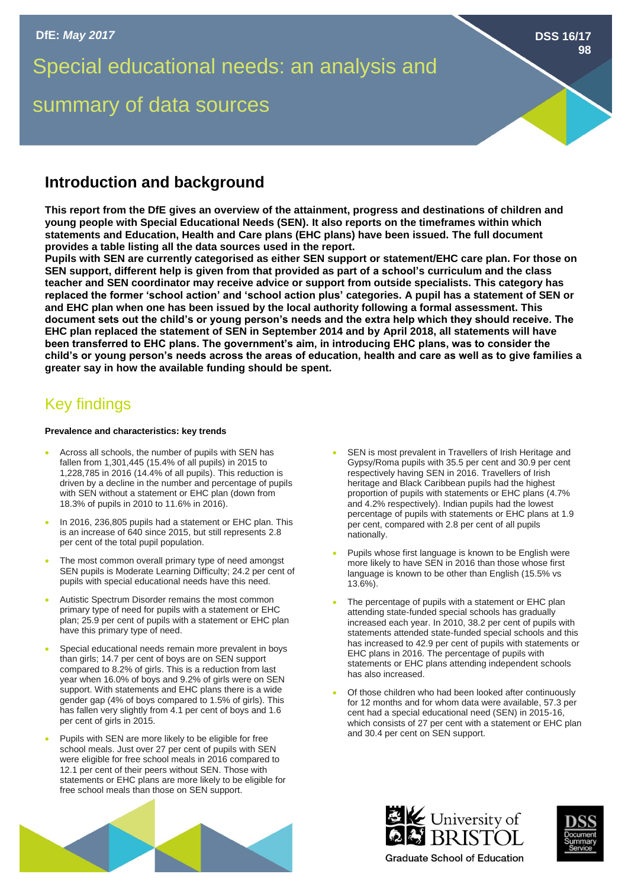Special educational needs: an analysis and

# summary of data sources

## **Introduction and background**

**This report from the DfE gives an overview of the attainment, progress and destinations of children and young people with Special Educational Needs (SEN). It also reports on the timeframes within which statements and Education, Health and Care plans (EHC plans) have been issued. The full document provides a table listing all the data sources used in the report.**

**Pupils with SEN are currently categorised as either SEN support or statement/EHC care plan. For those on SEN support, different help is given from that provided as part of a school's curriculum and the class teacher and SEN coordinator may receive advice or support from outside specialists. This category has replaced the former 'school action' and 'school action plus' categories. A pupil has a statement of SEN or and EHC plan when one has been issued by the local authority following a formal assessment. This document sets out the child's or young person's needs and the extra help which they should receive. The EHC plan replaced the statement of SEN in September 2014 and by April 2018, all statements will have been transferred to EHC plans. The government's aim, in introducing EHC plans, was to consider the child's or young person's needs across the areas of education, health and care as well as to give families a greater say in how the available funding should be spent.** 

## Key findings

#### **Prevalence and characteristics: key trends**

- Across all schools, the number of pupils with SEN has fallen from 1,301,445 (15.4% of all pupils) in 2015 to 1,228,785 in 2016 (14.4% of all pupils). This reduction is driven by a decline in the number and percentage of pupils with SEN without a statement or EHC plan (down from 18.3% of pupils in 2010 to 11.6% in 2016).
- In 2016, 236,805 pupils had a statement or EHC plan. This is an increase of 640 since 2015, but still represents 2.8 per cent of the total pupil population.
- The most common overall primary type of need amongst SEN pupils is Moderate Learning Difficulty; 24.2 per cent of pupils with special educational needs have this need.
- Autistic Spectrum Disorder remains the most common primary type of need for pupils with a statement or EHC plan; 25.9 per cent of pupils with a statement or EHC plan have this primary type of need.
- Special educational needs remain more prevalent in boys than girls; 14.7 per cent of boys are on SEN support compared to 8.2% of girls. This is a reduction from last year when 16.0% of boys and 9.2% of girls were on SEN support. With statements and EHC plans there is a wide gender gap (4% of boys compared to 1.5% of girls). This has fallen very slightly from 4.1 per cent of boys and 1.6 per cent of girls in 2015.
- Pupils with SEN are more likely to be eligible for free school meals. Just over 27 per cent of pupils with SEN were eligible for free school meals in 2016 compared to 12.1 per cent of their peers without SEN. Those with statements or EHC plans are more likely to be eligible for free school meals than those on SEN support.
- SEN is most prevalent in Travellers of Irish Heritage and Gypsy/Roma pupils with 35.5 per cent and 30.9 per cent respectively having SEN in 2016. Travellers of Irish heritage and Black Caribbean pupils had the highest proportion of pupils with statements or EHC plans (4.7% and 4.2% respectively). Indian pupils had the lowest percentage of pupils with statements or EHC plans at 1.9 per cent, compared with 2.8 per cent of all pupils nationally.
- Pupils whose first language is known to be English were more likely to have SEN in 2016 than those whose first language is known to be other than English (15.5% vs 13.6%).
- The percentage of pupils with a statement or EHC plan attending state-funded special schools has gradually increased each year. In 2010, 38.2 per cent of pupils with statements attended state-funded special schools and this has increased to 42.9 per cent of pupils with statements or EHC plans in 2016. The percentage of pupils with statements or EHC plans attending independent schools has also increased.
- Of those children who had been looked after continuously for 12 months and for whom data were available, 57.3 per cent had a special educational need (SEN) in 2015-16, which consists of 27 per cent with a statement or EHC plan and 30.4 per cent on SEN support.







**DSS 16/17**

**98**

**Graduate School of Education**